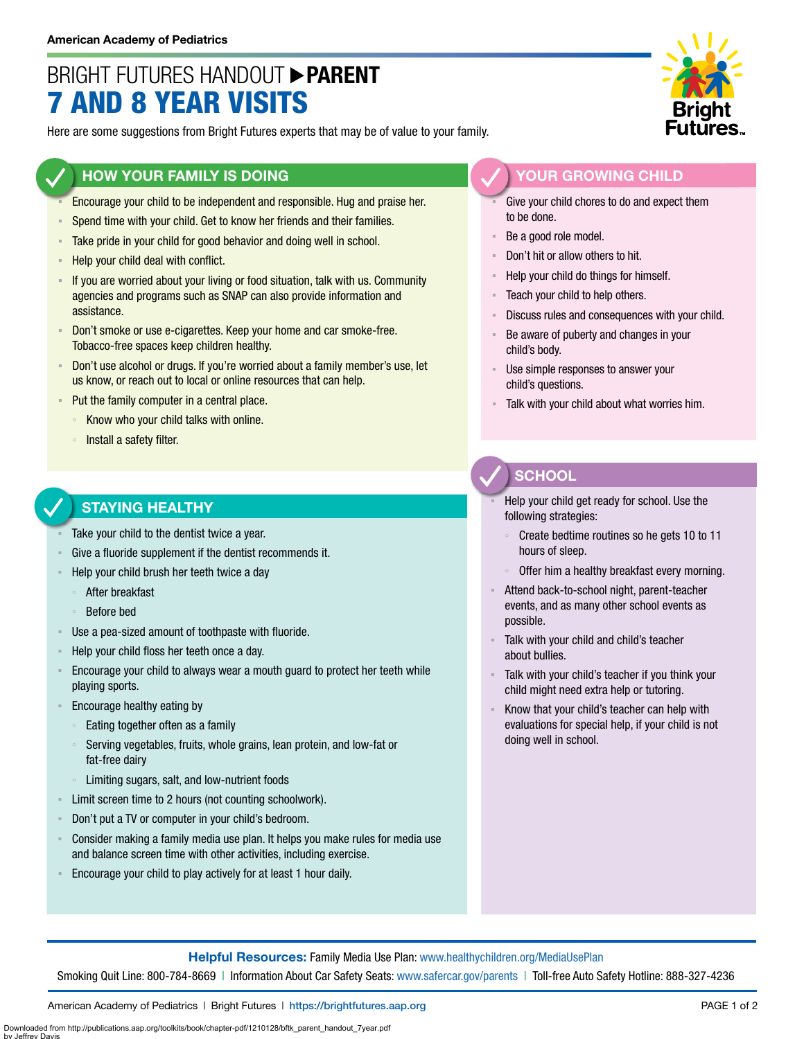# BRIGHT FUTURES HANDOUT **PARENT** 7 AND 8 YEAR VISITS

Here are some suggestions from Bright Futures experts that may be of value to your family.

### **HOW YOUR FAMILY IS DOING**

- Encourage your child to be independent and responsible. Hug and praise her.
- Spend time with your child. Get to know her friends and their families.
- **EXECT** Take pride in your child for good behavior and doing well in school.
- Help your child deal with conflict.
- If you are worried about your living or food situation, talk with us. Community agencies and programs such as SNAP can also provide information and assistance.
- Don't smoke or use e-cigarettes. Keep your home and car smoke-free. Tobacco-free spaces keep children healthy.
- Don't use alcohol or drugs. If you're worried about a family member's use, let us know, or reach out to local or online resources that can help.
- Put the family computer in a central place.
	- Know who your child talks with online.
	- Install a safety filter.

#### **STAYING HEALTHY**

- Take your child to the dentist twice a year.
- Give a fluoride supplement if the dentist recommends it.
- Help your child brush her teeth twice a day
	- After breakfast
	- Before bed
- Use a pea-sized amount of toothpaste with fluoride.
- Help your child floss her teeth once a day.
- Encourage your child to always wear a mouth guard to protect her teeth while playing sports.
- Encourage healthy eating by
	- Eating together often as a family
	- Serving vegetables, fruits, whole grains, lean protein, and low-fat or fat-free dairy
	- Limiting sugars, salt, and low-nutrient foods
- Limit screen time to 2 hours (not counting schoolwork).
- Don't put a TV or computer in your child's bedroom.
- Consider making a family media use plan. It helps you make rules for media use and balance screen time with other activities, including exercise.
- Encourage your child to play actively for at least 1 hour daily.



### **YOUR GROWING CHILD**

- Give your child chores to do and expect them to be done.
- Be a good role model.
- Don't hit or allow others to hit.
- Help your child do things for himself.
- Teach your child to help others.
- Discuss rules and consequences with your child.
- Be aware of puberty and changes in your child's body.
- Use simple responses to answer your child's questions.
- Talk with your child about what worries him.

## **SCHOOL**

- Help your child get ready for school. Use the following strategies:
- Create bedtime routines so he gets 10 to 11 hours of sleep.
- Offer him a healthy breakfast every morning.
- Attend back-to-school night, parent-teacher events, and as many other school events as possible.
- Talk with your child and child's teacher about bullies.
- Talk with your child's teacher if you think your child might need extra help or tutoring.
- Know that your child's teacher can help with evaluations for special help, if your child is not doing well in school.

**Helpful Resources:** Family Media Use Plan: [www.healthychildren.org/MediaUsePlan](https://www.healthychildren.org/English/media/Pages/default.aspx)

Smoking Quit Line: 800-784-8669 | Information About Car Safety Seats: [www.safercar.gov/parents](https://www.nhtsa.gov/parents-and-caregivers) | Toll-free Auto Safety Hotline: 888-327-4236

American Academy of Pediatrics | Bright Futures | https://[brightfutures.aap.org](https://brightfutures.aap.org/Pages/default.aspx) PAGE 1 of 2